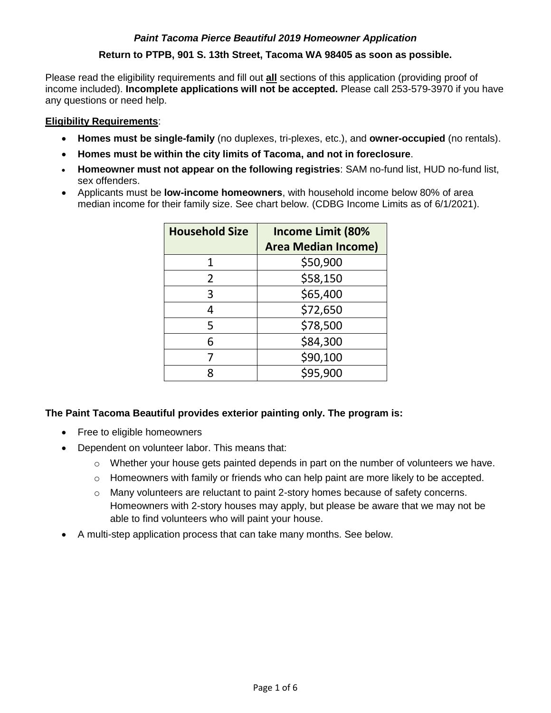# *Paint Tacoma Pierce Beautiful 2019 Homeowner Application*

# **Return to PTPB, 901 S. 13th Street, Tacoma WA 98405 as soon as possible.**

Please read the eligibility requirements and fill out **all** sections of this application (providing proof of income included). **Incomplete applications will not be accepted.** Please call 253-579-3970 if you have any questions or need help.

## **Eligibility Requirements**:

- **Homes must be single-family** (no duplexes, tri-plexes, etc.), and **owner-occupied** (no rentals).
- **Homes must be within the city limits of Tacoma, and not in foreclosure**.
- **Homeowner must not appear on the following registries**: SAM no-fund list, HUD no-fund list, sex offenders.
- Applicants must be **low-income homeowners**, with household income below 80% of area median income for their family size. See chart below. (CDBG Income Limits as of 6/1/2021).

| <b>Household Size</b> | <b>Income Limit (80%</b>   |  |
|-----------------------|----------------------------|--|
|                       | <b>Area Median Income)</b> |  |
|                       | \$50,900                   |  |
| 2                     | \$58,150                   |  |
| 3                     | \$65,400                   |  |
| 4                     | \$72,650                   |  |
| 5                     | \$78,500                   |  |
| 6                     | \$84,300                   |  |
|                       | \$90,100                   |  |
| Ջ                     | \$95,900                   |  |

## **The Paint Tacoma Beautiful provides exterior painting only. The program is:**

- Free to eligible homeowners
- Dependent on volunteer labor. This means that:
	- $\circ$  Whether your house gets painted depends in part on the number of volunteers we have.
	- $\circ$  Homeowners with family or friends who can help paint are more likely to be accepted.
	- $\circ$  Many volunteers are reluctant to paint 2-story homes because of safety concerns. Homeowners with 2-story houses may apply, but please be aware that we may not be able to find volunteers who will paint your house.
- A multi-step application process that can take many months. See below.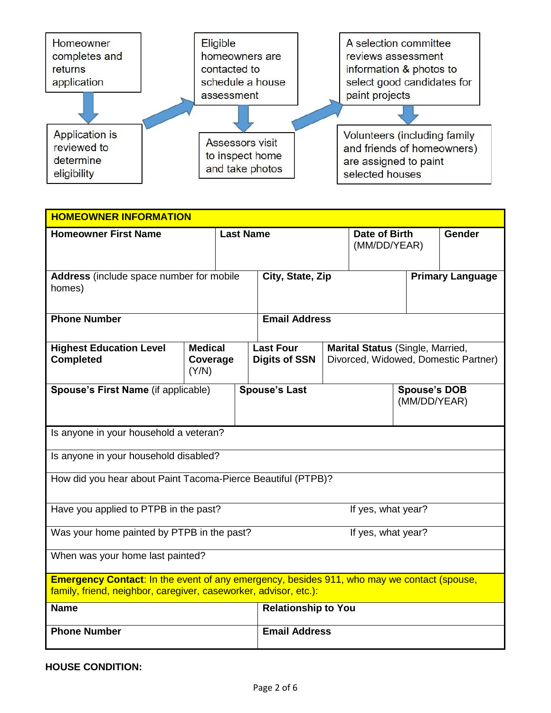

| <b>HOMEOWNER INFORMATION</b>                                                                                                                                          |                                     |                  |                                          |  |                                  |                                     |                                      |
|-----------------------------------------------------------------------------------------------------------------------------------------------------------------------|-------------------------------------|------------------|------------------------------------------|--|----------------------------------|-------------------------------------|--------------------------------------|
| <b>Homeowner First Name</b>                                                                                                                                           |                                     | <b>Last Name</b> |                                          |  |                                  | Date of Birth<br>(MM/DD/YEAR)       | <b>Gender</b>                        |
| Address (include space number for mobile<br>homes)                                                                                                                    |                                     | City, State, Zip |                                          |  |                                  | <b>Primary Language</b>             |                                      |
| <b>Phone Number</b>                                                                                                                                                   |                                     |                  | <b>Email Address</b>                     |  |                                  |                                     |                                      |
| <b>Highest Education Level</b><br><b>Completed</b>                                                                                                                    | <b>Medical</b><br>Coverage<br>(Y/N) |                  | <b>Last Four</b><br><b>Digits of SSN</b> |  | Marital Status (Single, Married, |                                     | Divorced, Widowed, Domestic Partner) |
| Spouse's First Name (if applicable)                                                                                                                                   |                                     |                  | <b>Spouse's Last</b>                     |  |                                  | <b>Spouse's DOB</b><br>(MM/DD/YEAR) |                                      |
| Is anyone in your household a veteran?                                                                                                                                |                                     |                  |                                          |  |                                  |                                     |                                      |
| Is anyone in your household disabled?                                                                                                                                 |                                     |                  |                                          |  |                                  |                                     |                                      |
| How did you hear about Paint Tacoma-Pierce Beautiful (PTPB)?                                                                                                          |                                     |                  |                                          |  |                                  |                                     |                                      |
| Have you applied to PTPB in the past?                                                                                                                                 |                                     |                  |                                          |  | If yes, what year?               |                                     |                                      |
| Was your home painted by PTPB in the past?                                                                                                                            |                                     |                  |                                          |  | If yes, what year?               |                                     |                                      |
| When was your home last painted?                                                                                                                                      |                                     |                  |                                          |  |                                  |                                     |                                      |
| <b>Emergency Contact:</b> In the event of any emergency, besides 911, who may we contact (spouse,<br>family, friend, neighbor, caregiver, caseworker, advisor, etc.): |                                     |                  |                                          |  |                                  |                                     |                                      |
| <b>Name</b>                                                                                                                                                           |                                     |                  | <b>Relationship to You</b>               |  |                                  |                                     |                                      |
| <b>Phone Number</b>                                                                                                                                                   |                                     |                  | <b>Email Address</b>                     |  |                                  |                                     |                                      |

**HOUSE CONDITION:**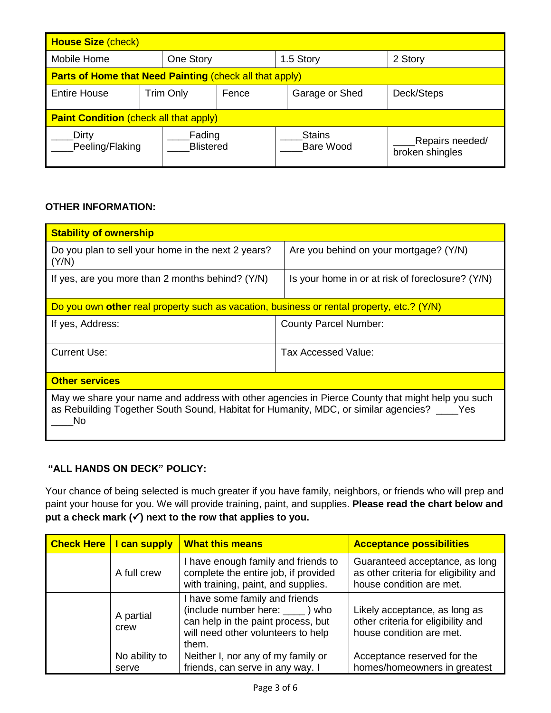| <b>House Size (check)</b>                     |                                                                |                            |           |  |                            |                                    |
|-----------------------------------------------|----------------------------------------------------------------|----------------------------|-----------|--|----------------------------|------------------------------------|
| Mobile Home<br>One Story                      |                                                                |                            | 1.5 Story |  | 2 Story                    |                                    |
|                                               | <b>Parts of Home that Need Painting (check all that apply)</b> |                            |           |  |                            |                                    |
| <b>Entire House</b>                           | <b>Trim Only</b><br>Fence                                      |                            |           |  | Garage or Shed             | Deck/Steps                         |
| <b>Paint Condition (check all that apply)</b> |                                                                |                            |           |  |                            |                                    |
| Dirty<br>Peeling/Flaking                      |                                                                | Fading<br><b>Blistered</b> |           |  | <b>Stains</b><br>Bare Wood | Repairs needed/<br>broken shingles |

# **OTHER INFORMATION:**

| <b>Stability of ownership</b>                                                                                                                                                                           |                                                  |
|---------------------------------------------------------------------------------------------------------------------------------------------------------------------------------------------------------|--------------------------------------------------|
| Do you plan to sell your home in the next 2 years?<br>(Y/N)                                                                                                                                             | Are you behind on your mortgage? (Y/N)           |
| If yes, are you more than 2 months behind? $(Y/N)$                                                                                                                                                      | Is your home in or at risk of foreclosure? (Y/N) |
| Do you own other real property such as vacation, business or rental property, etc.? (Y/N)                                                                                                               |                                                  |
| If yes, Address:                                                                                                                                                                                        | <b>County Parcel Number:</b>                     |
| <b>Current Use:</b>                                                                                                                                                                                     | Tax Accessed Value:                              |
| <b>Other services</b>                                                                                                                                                                                   |                                                  |
| May we share your name and address with other agencies in Pierce County that might help you such<br>as Rebuilding Together South Sound, Habitat for Humanity, MDC, or similar agencies? ____ Yes<br>No. |                                                  |

# **"ALL HANDS ON DECK" POLICY:**

Your chance of being selected is much greater if you have family, neighbors, or friends who will prep and paint your house for you. We will provide training, paint, and supplies. **Please read the chart below and put a check mark () next to the row that applies to you.**

| <b>Check Here   I can supply</b> | <b>What this means</b>                                                                                                                                   | <b>Acceptance possibilities</b>                                                                     |
|----------------------------------|----------------------------------------------------------------------------------------------------------------------------------------------------------|-----------------------------------------------------------------------------------------------------|
| A full crew                      | I have enough family and friends to<br>complete the entire job, if provided<br>with training, paint, and supplies.                                       | Guaranteed acceptance, as long<br>as other criteria for eligibility and<br>house condition are met. |
| A partial<br>crew                | I have some family and friends<br>(include number here: ______) who<br>can help in the paint process, but<br>will need other volunteers to help<br>them. | Likely acceptance, as long as<br>other criteria for eligibility and<br>house condition are met.     |
| No ability to<br>serve           | Neither I, nor any of my family or<br>friends, can serve in any way. I                                                                                   | Acceptance reserved for the<br>homes/homeowners in greatest                                         |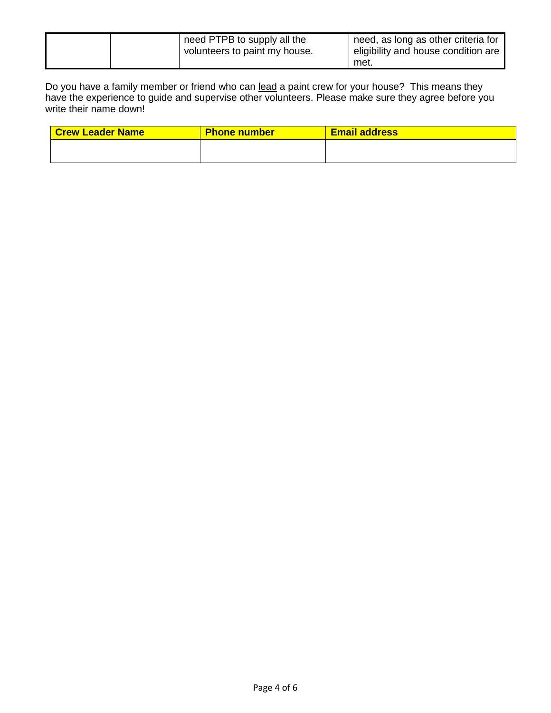|  | need PTPB to supply all the<br>volunteers to paint my house. | need, as long as other criteria for<br>l eligibility and house condition are |
|--|--------------------------------------------------------------|------------------------------------------------------------------------------|
|  |                                                              | met.                                                                         |

Do you have a family member or friend who can lead a paint crew for your house? This means they have the experience to guide and supervise other volunteers. Please make sure they agree before you write their name down!

| <b>Crew Leader Name</b> | <b>Phone number</b> | <b>Email address</b> |
|-------------------------|---------------------|----------------------|
|                         |                     |                      |
|                         |                     |                      |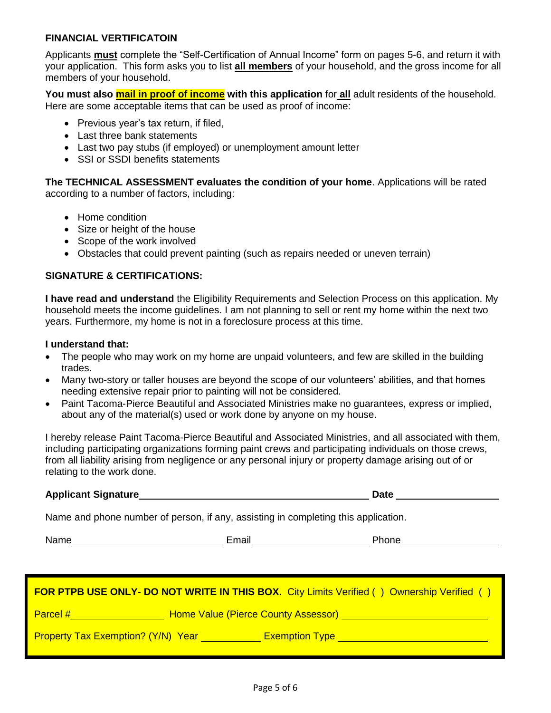## **FINANCIAL VERTIFICATOIN**

Applicants **must** complete the "Self-Certification of Annual Income" form on pages 5-6, and return it with your application. This form asks you to list **all members** of your household, and the gross income for all members of your household.

**You must also mail in proof of income with this application** for **all** adult residents of the household. Here are some acceptable items that can be used as proof of income:

- Previous year's tax return, if filed,
- Last three bank statements
- Last two pay stubs (if employed) or unemployment amount letter
- SSI or SSDI benefits statements

**The TECHNICAL ASSESSMENT evaluates the condition of your home**. Applications will be rated according to a number of factors, including:

- Home condition
- Size or height of the house
- Scope of the work involved
- Obstacles that could prevent painting (such as repairs needed or uneven terrain)

## **SIGNATURE & CERTIFICATIONS:**

**I have read and understand** the Eligibility Requirements and Selection Process on this application. My household meets the income guidelines. I am not planning to sell or rent my home within the next two years. Furthermore, my home is not in a foreclosure process at this time.

#### **I understand that:**

- The people who may work on my home are unpaid volunteers, and few are skilled in the building trades.
- Many two-story or taller houses are beyond the scope of our volunteers' abilities, and that homes needing extensive repair prior to painting will not be considered.
- Paint Tacoma-Pierce Beautiful and Associated Ministries make no guarantees, express or implied, about any of the material(s) used or work done by anyone on my house.

I hereby release Paint Tacoma-Pierce Beautiful and Associated Ministries, and all associated with them, including participating organizations forming paint crews and participating individuals on those crews, from all liability arising from negligence or any personal injury or property damage arising out of or relating to the work done.

#### **Applicant Signature Date**

Name and phone number of person, if any, assisting in completing this application.

Name **Email Email** Phone

|                                           |                                            | <b>FOR PTPB USE ONLY- DO NOT WRITE IN THIS BOX.</b> City Limits Verified () Ownership Verified () |
|-------------------------------------------|--------------------------------------------|---------------------------------------------------------------------------------------------------|
| Parcel #                                  | <b>Home Value (Pierce County Assessor)</b> |                                                                                                   |
| <b>Property Tax Exemption? (Y/N) Year</b> |                                            | <b>Exemption Type</b>                                                                             |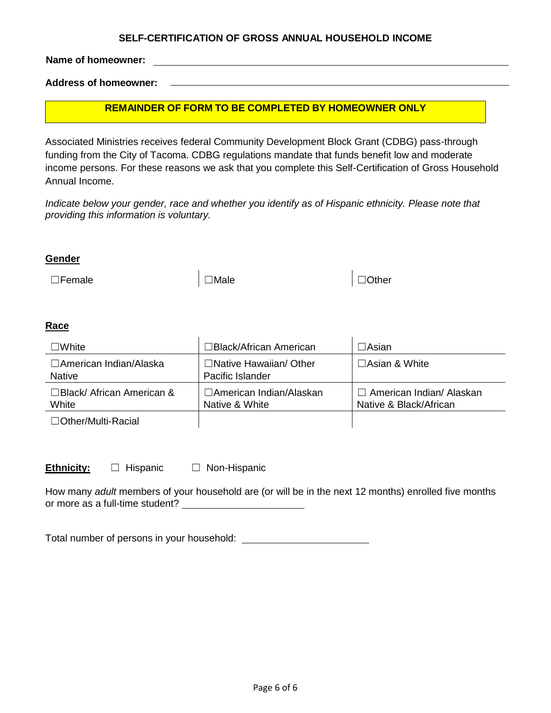#### **SELF-CERTIFICATION OF GROSS ANNUAL HOUSEHOLD INCOME**

**Name of homeowner:**

**Address of homeowner:** 

## **REMAINDER OF FORM TO BE COMPLETED BY HOMEOWNER ONLY**

Associated Ministries receives federal Community Development Block Grant (CDBG) pass-through funding from the City of Tacoma. CDBG regulations mandate that funds benefit low and moderate income persons. For these reasons we ask that you complete this Self-Certification of Gross Household Annual Income.

*Indicate below your gender, race and whether you identify as of Hispanic ethnicity. Please note that providing this information is voluntary.*

#### **Gender**

<mark>7080</mark>

☐Female ☐Male ☐Other

## **Race**

| $\Box$ White                              | □Black/African American                           | $\Box$ Asian                                              |
|-------------------------------------------|---------------------------------------------------|-----------------------------------------------------------|
| □American Indian/Alaska<br><b>Native</b>  | $\Box$ Native Hawaiian/ Other<br>Pacific Islander | $\Box$ Asian & White                                      |
| $\Box$ Black/ African American &<br>White | □American Indian/Alaskan<br>Native & White        | $\Box$ American Indian/ Alaskan<br>Native & Black/African |
| $\Box$ Other/Multi-Racial                 |                                                   |                                                           |

**Ethnicity:** □ Hispanic □ Non-Hispanic

How many *adult* members of your household are (or will be in the next 12 months) enrolled five months or more as a full-time student?

Total number of persons in your household: